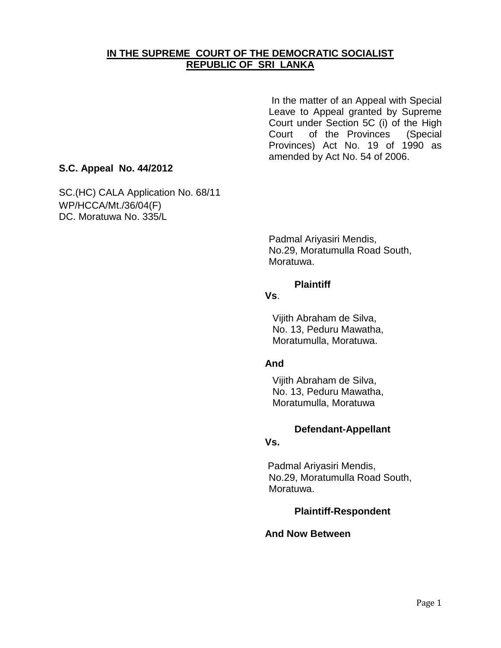## **IN THE SUPREME COURT OF THE DEMOCRATIC SOCIALIST REPUBLIC OF SRI LANKA**

In the matter of an Appeal with Special Leave to Appeal granted by Supreme Court under Section 5C (i) of the High Court of the Provinces (Special Provinces) Act No. 19 of 1990 as amended by Act No. 54 of 2006.

## **S.C. Appeal No. 44/2012**

SC.(HC) CALA Application No. 68/11 WP/HCCA/Mt./36/04(F) DC. Moratuwa No. 335/L

> Padmal Ariyasiri Mendis, No.29, Moratumulla Road South, Moratuwa.

#### **Plaintiff**

#### **Vs**.

Vijith Abraham de Silva, No. 13, Peduru Mawatha, Moratumulla, Moratuwa.

### **And**

Vijith Abraham de Silva, No. 13, Peduru Mawatha, Moratumulla, Moratuwa

### **Defendant-Appellant**

#### **Vs.**

Padmal Ariyasiri Mendis, No.29, Moratumulla Road South, Moratuwa.

### **Plaintiff-Respondent**

#### **And Now Between**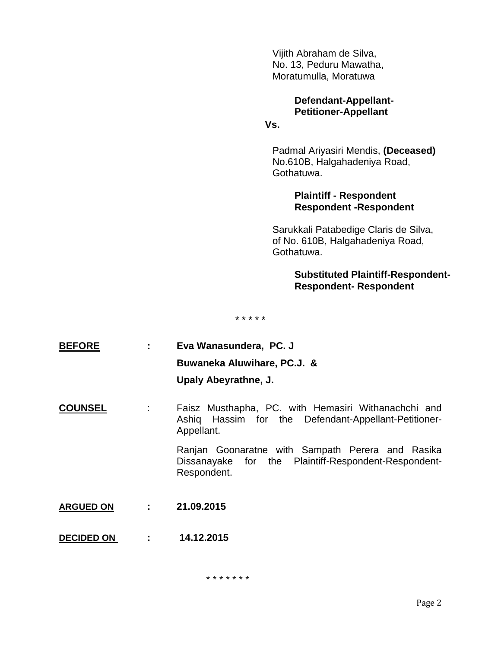Vijith Abraham de Silva, No. 13, Peduru Mawatha, Moratumulla, Moratuwa

## **Defendant-Appellant-Petitioner-Appellant**

## **Vs.**

Padmal Ariyasiri Mendis, **(Deceased)** No.610B, Halgahadeniya Road, Gothatuwa.

### **Plaintiff - Respondent Respondent -Respondent**

Sarukkali Patabedige Claris de Silva, of No. 610B, Halgahadeniya Road, Gothatuwa.

## **Substituted Plaintiff-Respondent-Respondent- Respondent**

\* \* \* \* \*

| <b>BEFORE</b>    |                            | Eva Wanasundera, PC. J<br>Buwaneka Aluwihare, PC.J. &<br>Upaly Abeyrathne, J.                                             |
|------------------|----------------------------|---------------------------------------------------------------------------------------------------------------------------|
| <b>COUNSEL</b>   | $\mathcal{L}^{\text{max}}$ | Faisz Musthapha, PC. with Hemasiri Withanachchi and<br>Ashiq Hassim for the Defendant-Appellant-Petitioner-<br>Appellant. |
|                  |                            | Ranjan Goonaratne with Sampath Perera and Rasika<br>Dissanayake for the Plaintiff-Respondent-Respondent-<br>Respondent.   |
| <b>ARGUED ON</b> |                            | 21.09.2015                                                                                                                |

**DECIDED ON : 14.12.2015**

\* \* \* \* \* \* \*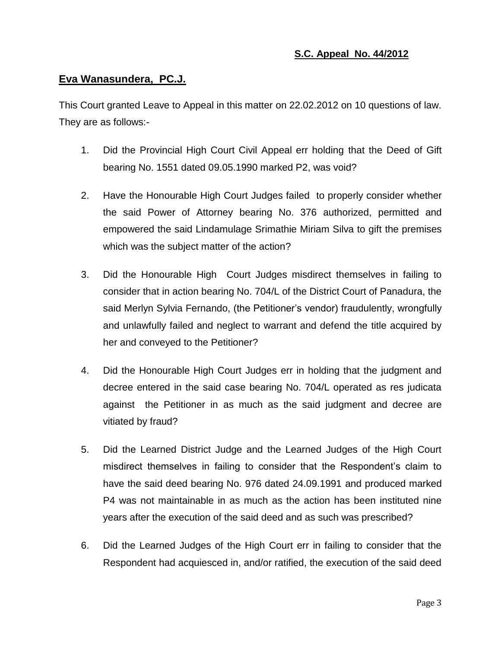## **S.C. Appeal No. 44/2012**

### **Eva Wanasundera, PC.J.**

This Court granted Leave to Appeal in this matter on 22.02.2012 on 10 questions of law. They are as follows:-

- 1. Did the Provincial High Court Civil Appeal err holding that the Deed of Gift bearing No. 1551 dated 09.05.1990 marked P2, was void?
- 2. Have the Honourable High Court Judges failed to properly consider whether the said Power of Attorney bearing No. 376 authorized, permitted and empowered the said Lindamulage Srimathie Miriam Silva to gift the premises which was the subject matter of the action?
- 3. Did the Honourable High Court Judges misdirect themselves in failing to consider that in action bearing No. 704/L of the District Court of Panadura, the said Merlyn Sylvia Fernando, (the Petitioner"s vendor) fraudulently, wrongfully and unlawfully failed and neglect to warrant and defend the title acquired by her and conveyed to the Petitioner?
- 4. Did the Honourable High Court Judges err in holding that the judgment and decree entered in the said case bearing No. 704/L operated as res judicata against the Petitioner in as much as the said judgment and decree are vitiated by fraud?
- 5. Did the Learned District Judge and the Learned Judges of the High Court misdirect themselves in failing to consider that the Respondent"s claim to have the said deed bearing No. 976 dated 24.09.1991 and produced marked P4 was not maintainable in as much as the action has been instituted nine years after the execution of the said deed and as such was prescribed?
- 6. Did the Learned Judges of the High Court err in failing to consider that the Respondent had acquiesced in, and/or ratified, the execution of the said deed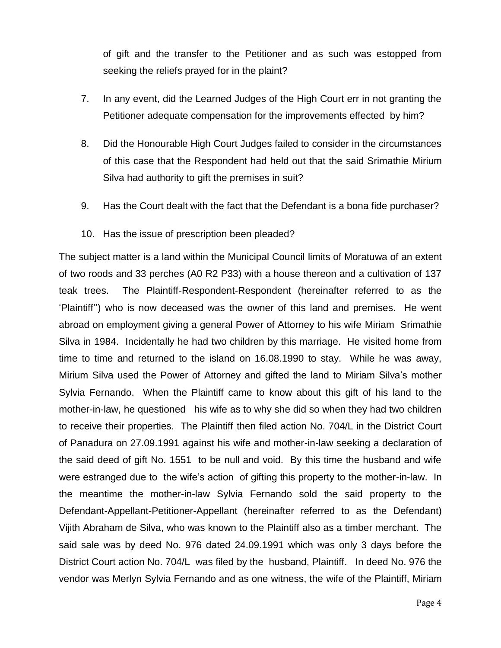of gift and the transfer to the Petitioner and as such was estopped from seeking the reliefs prayed for in the plaint?

- 7. In any event, did the Learned Judges of the High Court err in not granting the Petitioner adequate compensation for the improvements effected by him?
- 8. Did the Honourable High Court Judges failed to consider in the circumstances of this case that the Respondent had held out that the said Srimathie Mirium Silva had authority to gift the premises in suit?
- 9. Has the Court dealt with the fact that the Defendant is a bona fide purchaser?
- 10. Has the issue of prescription been pleaded?

The subject matter is a land within the Municipal Council limits of Moratuwa of an extent of two roods and 33 perches (A0 R2 P33) with a house thereon and a cultivation of 137 teak trees. The Plaintiff-Respondent-Respondent (hereinafter referred to as the "Plaintiff"") who is now deceased was the owner of this land and premises. He went abroad on employment giving a general Power of Attorney to his wife Miriam Srimathie Silva in 1984. Incidentally he had two children by this marriage. He visited home from time to time and returned to the island on 16.08.1990 to stay. While he was away, Mirium Silva used the Power of Attorney and gifted the land to Miriam Silva"s mother Sylvia Fernando. When the Plaintiff came to know about this gift of his land to the mother-in-law, he questioned his wife as to why she did so when they had two children to receive their properties. The Plaintiff then filed action No. 704/L in the District Court of Panadura on 27.09.1991 against his wife and mother-in-law seeking a declaration of the said deed of gift No. 1551 to be null and void. By this time the husband and wife were estranged due to the wife"s action of gifting this property to the mother-in-law. In the meantime the mother-in-law Sylvia Fernando sold the said property to the Defendant-Appellant-Petitioner-Appellant (hereinafter referred to as the Defendant) Vijith Abraham de Silva, who was known to the Plaintiff also as a timber merchant. The said sale was by deed No. 976 dated 24.09.1991 which was only 3 days before the District Court action No. 704/L was filed by the husband, Plaintiff. In deed No. 976 the vendor was Merlyn Sylvia Fernando and as one witness, the wife of the Plaintiff, Miriam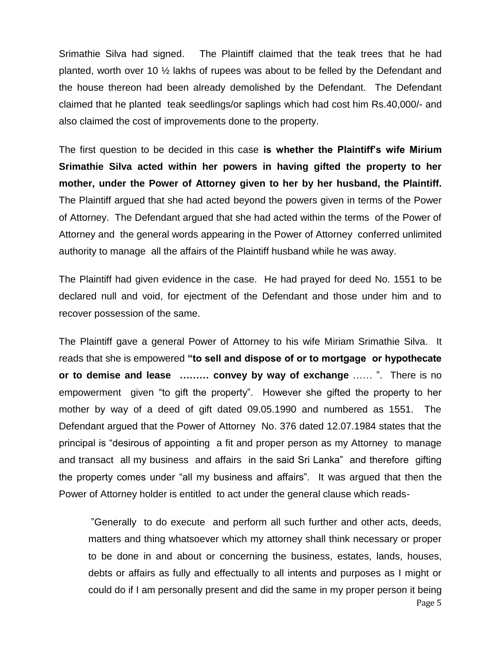Srimathie Silva had signed. The Plaintiff claimed that the teak trees that he had planted, worth over 10 ½ lakhs of rupees was about to be felled by the Defendant and the house thereon had been already demolished by the Defendant. The Defendant claimed that he planted teak seedlings/or saplings which had cost him Rs.40,000/- and also claimed the cost of improvements done to the property.

The first question to be decided in this case **is whether the Plaintiff's wife Mirium Srimathie Silva acted within her powers in having gifted the property to her mother, under the Power of Attorney given to her by her husband, the Plaintiff.** The Plaintiff argued that she had acted beyond the powers given in terms of the Power of Attorney. The Defendant argued that she had acted within the terms of the Power of Attorney and the general words appearing in the Power of Attorney conferred unlimited authority to manage all the affairs of the Plaintiff husband while he was away.

The Plaintiff had given evidence in the case. He had prayed for deed No. 1551 to be declared null and void, for ejectment of the Defendant and those under him and to recover possession of the same.

The Plaintiff gave a general Power of Attorney to his wife Miriam Srimathie Silva. It reads that she is empowered **"to sell and dispose of or to mortgage or hypothecate or to demise and lease ……… convey by way of exchange** …… ". There is no empowerment given "to gift the property". However she gifted the property to her mother by way of a deed of gift dated 09.05.1990 and numbered as 1551. The Defendant argued that the Power of Attorney No. 376 dated 12.07.1984 states that the principal is "desirous of appointing a fit and proper person as my Attorney to manage and transact all my business and affairs in the said Sri Lanka" and therefore gifting the property comes under "all my business and affairs". It was argued that then the Power of Attorney holder is entitled to act under the general clause which reads-

Page 5 "Generally to do execute and perform all such further and other acts, deeds, matters and thing whatsoever which my attorney shall think necessary or proper to be done in and about or concerning the business, estates, lands, houses, debts or affairs as fully and effectually to all intents and purposes as I might or could do if I am personally present and did the same in my proper person it being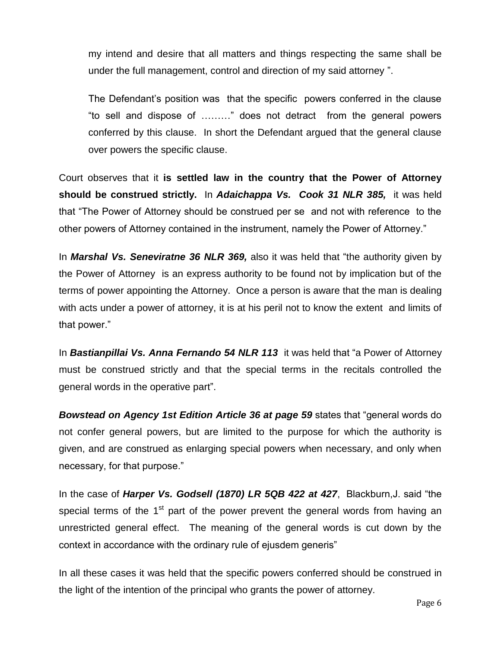my intend and desire that all matters and things respecting the same shall be under the full management, control and direction of my said attorney ".

The Defendant"s position was that the specific powers conferred in the clause "to sell and dispose of ………" does not detract from the general powers conferred by this clause. In short the Defendant argued that the general clause over powers the specific clause.

Court observes that it **is settled law in the country that the Power of Attorney should be construed strictly.** In *Adaichappa Vs. Cook 31 NLR 385,* it was held that "The Power of Attorney should be construed per se and not with reference to the other powers of Attorney contained in the instrument, namely the Power of Attorney."

In *Marshal Vs. Seneviratne 36 NLR 369,* also it was held that "the authority given by the Power of Attorney is an express authority to be found not by implication but of the terms of power appointing the Attorney. Once a person is aware that the man is dealing with acts under a power of attorney, it is at his peril not to know the extent and limits of that power."

In *Bastianpillai Vs. Anna Fernando 54 NLR 113* it was held that "a Power of Attorney must be construed strictly and that the special terms in the recitals controlled the general words in the operative part".

*Bowstead on Agency 1st Edition Article 36 at page 59* states that "general words do not confer general powers, but are limited to the purpose for which the authority is given, and are construed as enlarging special powers when necessary, and only when necessary, for that purpose."

In the case of *Harper Vs. Godsell (1870) LR 5QB 422 at 427*, Blackburn,J. said "the special terms of the  $1<sup>st</sup>$  part of the power prevent the general words from having an unrestricted general effect. The meaning of the general words is cut down by the context in accordance with the ordinary rule of ejusdem generis"

In all these cases it was held that the specific powers conferred should be construed in the light of the intention of the principal who grants the power of attorney.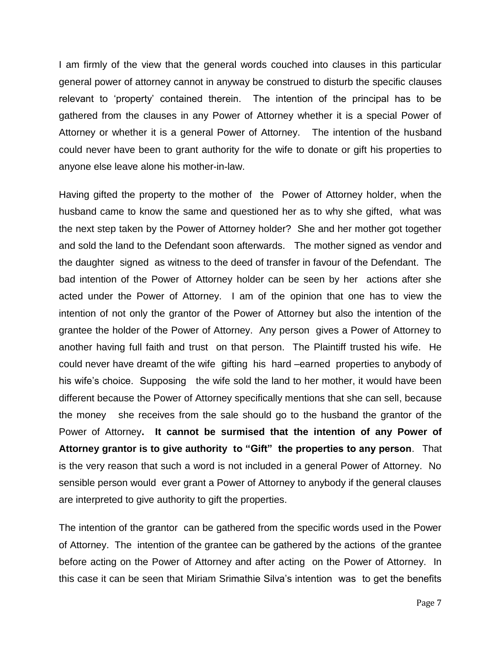I am firmly of the view that the general words couched into clauses in this particular general power of attorney cannot in anyway be construed to disturb the specific clauses relevant to "property" contained therein. The intention of the principal has to be gathered from the clauses in any Power of Attorney whether it is a special Power of Attorney or whether it is a general Power of Attorney. The intention of the husband could never have been to grant authority for the wife to donate or gift his properties to anyone else leave alone his mother-in-law.

Having gifted the property to the mother of the Power of Attorney holder, when the husband came to know the same and questioned her as to why she gifted, what was the next step taken by the Power of Attorney holder? She and her mother got together and sold the land to the Defendant soon afterwards. The mother signed as vendor and the daughter signed as witness to the deed of transfer in favour of the Defendant. The bad intention of the Power of Attorney holder can be seen by her actions after she acted under the Power of Attorney. I am of the opinion that one has to view the intention of not only the grantor of the Power of Attorney but also the intention of the grantee the holder of the Power of Attorney. Any person gives a Power of Attorney to another having full faith and trust on that person. The Plaintiff trusted his wife. He could never have dreamt of the wife gifting his hard –earned properties to anybody of his wife's choice. Supposing the wife sold the land to her mother, it would have been different because the Power of Attorney specifically mentions that she can sell, because the money she receives from the sale should go to the husband the grantor of the Power of Attorney**. It cannot be surmised that the intention of any Power of Attorney grantor is to give authority to "Gift" the properties to any person**. That is the very reason that such a word is not included in a general Power of Attorney. No sensible person would ever grant a Power of Attorney to anybody if the general clauses are interpreted to give authority to gift the properties.

The intention of the grantor can be gathered from the specific words used in the Power of Attorney. The intention of the grantee can be gathered by the actions of the grantee before acting on the Power of Attorney and after acting on the Power of Attorney. In this case it can be seen that Miriam Srimathie Silva"s intention was to get the benefits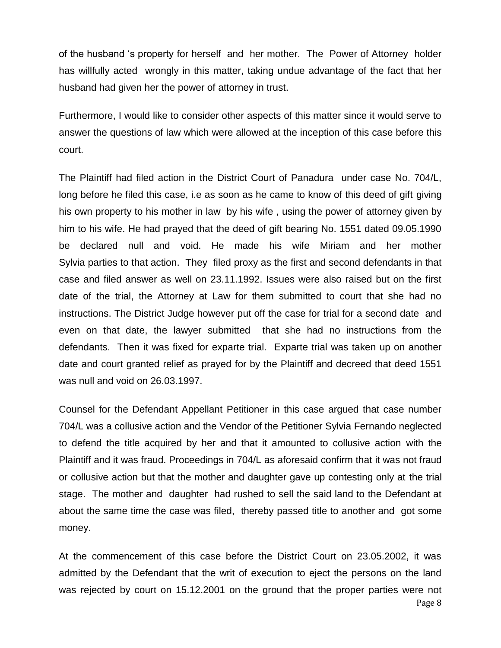of the husband "s property for herself and her mother. The Power of Attorney holder has willfully acted wrongly in this matter, taking undue advantage of the fact that her husband had given her the power of attorney in trust.

Furthermore, I would like to consider other aspects of this matter since it would serve to answer the questions of law which were allowed at the inception of this case before this court.

The Plaintiff had filed action in the District Court of Panadura under case No. 704/L, long before he filed this case, i.e as soon as he came to know of this deed of gift giving his own property to his mother in law by his wife , using the power of attorney given by him to his wife. He had prayed that the deed of gift bearing No. 1551 dated 09.05.1990 be declared null and void. He made his wife Miriam and her mother Sylvia parties to that action. They filed proxy as the first and second defendants in that case and filed answer as well on 23.11.1992. Issues were also raised but on the first date of the trial, the Attorney at Law for them submitted to court that she had no instructions. The District Judge however put off the case for trial for a second date and even on that date, the lawyer submitted that she had no instructions from the defendants. Then it was fixed for exparte trial. Exparte trial was taken up on another date and court granted relief as prayed for by the Plaintiff and decreed that deed 1551 was null and void on 26.03.1997.

Counsel for the Defendant Appellant Petitioner in this case argued that case number 704/L was a collusive action and the Vendor of the Petitioner Sylvia Fernando neglected to defend the title acquired by her and that it amounted to collusive action with the Plaintiff and it was fraud. Proceedings in 704/L as aforesaid confirm that it was not fraud or collusive action but that the mother and daughter gave up contesting only at the trial stage. The mother and daughter had rushed to sell the said land to the Defendant at about the same time the case was filed, thereby passed title to another and got some money.

Page 8 At the commencement of this case before the District Court on 23.05.2002, it was admitted by the Defendant that the writ of execution to eject the persons on the land was rejected by court on 15.12.2001 on the ground that the proper parties were not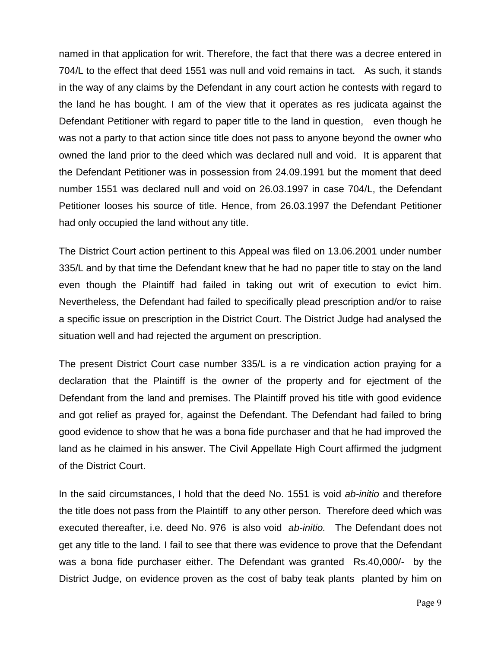named in that application for writ. Therefore, the fact that there was a decree entered in 704/L to the effect that deed 1551 was null and void remains in tact. As such, it stands in the way of any claims by the Defendant in any court action he contests with regard to the land he has bought. I am of the view that it operates as res judicata against the Defendant Petitioner with regard to paper title to the land in question, even though he was not a party to that action since title does not pass to anyone beyond the owner who owned the land prior to the deed which was declared null and void. It is apparent that the Defendant Petitioner was in possession from 24.09.1991 but the moment that deed number 1551 was declared null and void on 26.03.1997 in case 704/L, the Defendant Petitioner looses his source of title. Hence, from 26.03.1997 the Defendant Petitioner had only occupied the land without any title.

The District Court action pertinent to this Appeal was filed on 13.06.2001 under number 335/L and by that time the Defendant knew that he had no paper title to stay on the land even though the Plaintiff had failed in taking out writ of execution to evict him. Nevertheless, the Defendant had failed to specifically plead prescription and/or to raise a specific issue on prescription in the District Court. The District Judge had analysed the situation well and had rejected the argument on prescription.

The present District Court case number 335/L is a re vindication action praying for a declaration that the Plaintiff is the owner of the property and for ejectment of the Defendant from the land and premises. The Plaintiff proved his title with good evidence and got relief as prayed for, against the Defendant. The Defendant had failed to bring good evidence to show that he was a bona fide purchaser and that he had improved the land as he claimed in his answer. The Civil Appellate High Court affirmed the judgment of the District Court.

In the said circumstances, I hold that the deed No. 1551 is void *ab-initio* and therefore the title does not pass from the Plaintiff to any other person. Therefore deed which was executed thereafter, i.e. deed No. 976 is also void *ab-initio.* The Defendant does not get any title to the land. I fail to see that there was evidence to prove that the Defendant was a bona fide purchaser either. The Defendant was granted Rs.40,000/- by the District Judge, on evidence proven as the cost of baby teak plants planted by him on